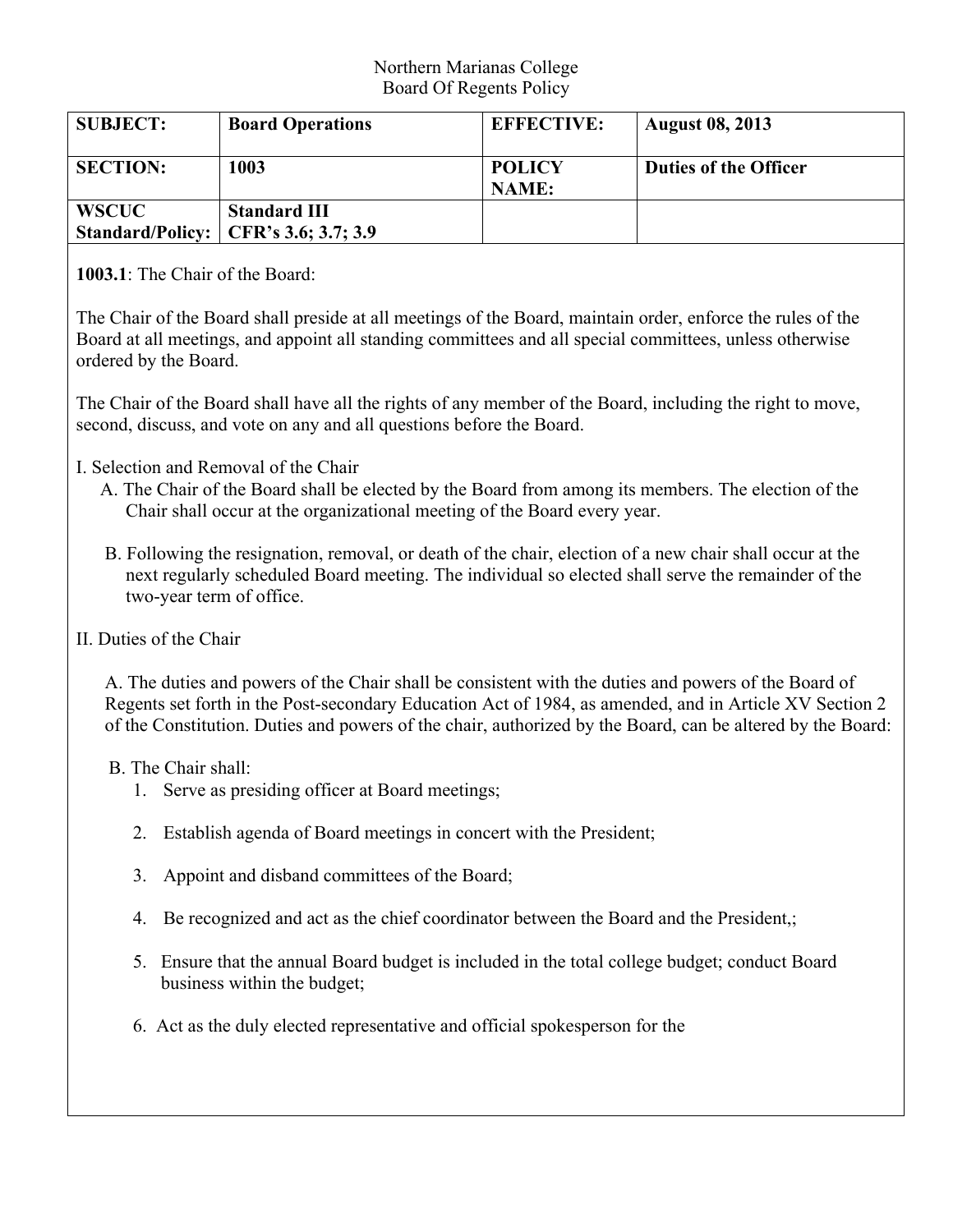## Northern Marianas College Board Of Regents Policy

| <b>SUBJECT:</b> | <b>Board Operations</b>                                              | <b>EFFECTIVE:</b>             | <b>August 08, 2013</b>       |
|-----------------|----------------------------------------------------------------------|-------------------------------|------------------------------|
| <b>SECTION:</b> | 1003                                                                 | <b>POLICY</b><br><b>NAME:</b> | <b>Duties of the Officer</b> |
| <b>WSCUC</b>    | <b>Standard III</b><br><b>Standard/Policy:</b>   CFR's 3.6; 3.7; 3.9 |                               |                              |

**1003.1**: The Chair of the Board:

The Chair of the Board shall preside at all meetings of the Board, maintain order, enforce the rules of the Board at all meetings, and appoint all standing committees and all special committees, unless otherwise ordered by the Board.

The Chair of the Board shall have all the rights of any member of the Board, including the right to move, second, discuss, and vote on any and all questions before the Board.

- I. Selection and Removal of the Chair
	- A. The Chair of the Board shall be elected by the Board from among its members. The election of the Chair shall occur at the organizational meeting of the Board every year.
	- B. Following the resignation, removal, or death of the chair, election of a new chair shall occur at the next regularly scheduled Board meeting. The individual so elected shall serve the remainder of the two-year term of office.
- II. Duties of the Chair

 A. The duties and powers of the Chair shall be consistent with the duties and powers of the Board of Regents set forth in the Post-secondary Education Act of 1984, as amended, and in Article XV Section 2 of the Constitution. Duties and powers of the chair, authorized by the Board, can be altered by the Board:

- B. The Chair shall:
	- 1. Serve as presiding officer at Board meetings;
	- 2. Establish agenda of Board meetings in concert with the President;
	- 3. Appoint and disband committees of the Board;
	- 4. Be recognized and act as the chief coordinator between the Board and the President,;
	- 5. Ensure that the annual Board budget is included in the total college budget; conduct Board business within the budget;
	- 6. Act as the duly elected representative and official spokesperson for the